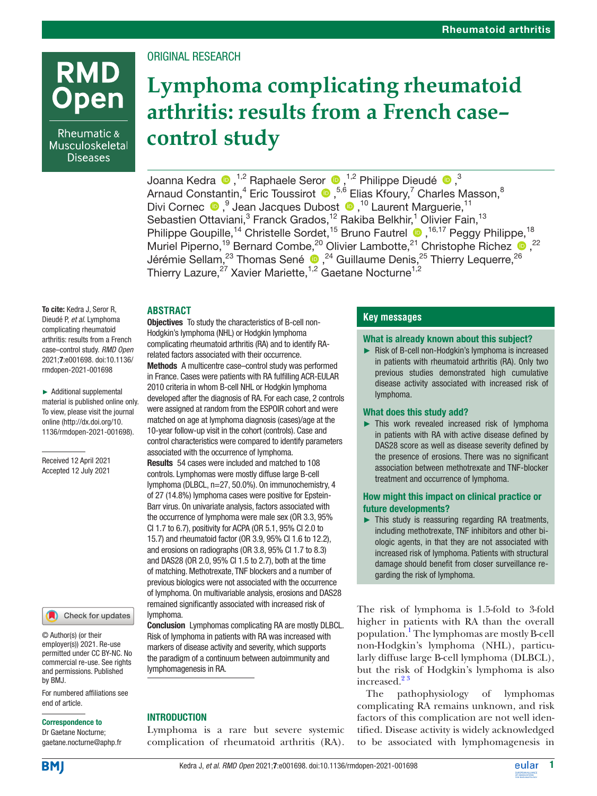### ORIGINAL RESEARCH

# **Lymphoma complicating rheumatoid arthritis: results from a French case– control study**

JoannaKedra ®,<sup>1,2</sup> Raphaele Seror ®,<sup>1,2</sup> Philippe Dieudé ®,<sup>3</sup> ArnaudConstantin, $^4$  Eric Toussirot  $\, \bullet \,$ ,  $^{5,6}$  Elias Kfoury, $^7$  Charles Masson,  $^8$ DiviCornec <sup>®</sup>, Jean Jacques Dubost <sup>®</sup>, <sup>10</sup> Laurent Marguerie, <sup>11</sup> Sebastien Ottaviani,<sup>3</sup> Franck Grados,<sup>12</sup> Rakiba Belkhir,<sup>1</sup> Olivier Fain,<sup>13</sup> Philippe Goupille,<sup>14</sup> Christelle Sordet,<sup>15</sup> Bruno Fautrel <sup>16,17</sup> Peggy Philippe,<sup>18</sup> Muriel Piperno,<sup>19</sup> Bernard Combe,<sup>20</sup> Olivier Lambotte,<sup>21</sup> Christophe Richez  $\bullet$ ,<sup>22</sup> Jérémie Sellam, $^{23}$  Thomas Sené  $\bigcirc$ , $^{24}$  Guillaume Denis, $^{25}$  Thierry Lequerre, $^{26}$ Thierry Lazure,<sup>27</sup> Xavier Mariette,<sup>1,2</sup> Gaetane Nocturne<sup>1,2</sup>

#### **ABSTRACT**

To cite: Kedra J, Seror R, Dieudé P, *et al*. Lymphoma complicating rheumatoid arthritis: results from a French case–control study. *RMD Open* 2021;7:e001698. doi:10.1136/ rmdopen-2021-001698

**RMD** 

Rheumatic & Musculoskeletal **Diseases** 

pen

► Additional supplemental material is published online only. To view, please visit the journal online ([http://dx.doi.org/10.](http://dx.doi.org/10.1136/rmdopen-2021-001698) [1136/rmdopen-2021-001698\)](http://dx.doi.org/10.1136/rmdopen-2021-001698).

Received 12 April 2021 Accepted 12 July 2021

Check for updates

© Author(s) (or their employer(s)) 2021. Re-use permitted under CC BY-NC. No commercial re-use. See rights and permissions. Published by BMJ.

For numbered affiliations see end of article.

#### Correspondence to

Dr Gaetane Nocturne; gaetane.nocturne@aphp.fr Objectives To study the characteristics of B-cell non-Hodgkin's lymphoma (NHL) or Hodgkin lymphoma complicating rheumatoid arthritis (RA) and to identify RArelated factors associated with their occurrence.

Methods A multicentre case–control study was performed in France. Cases were patients with RA fulfilling ACR-EULAR 2010 criteria in whom B-cell NHL or Hodgkin lymphoma developed after the diagnosis of RA. For each case, 2 controls were assigned at random from the ESPOIR cohort and were matched on age at lymphoma diagnosis (cases)/age at the 10-year follow-up visit in the cohort (controls). Case and control characteristics were compared to identify parameters associated with the occurrence of lymphoma. Results 54 cases were included and matched to 108 controls. Lymphomas were mostly diffuse large B-cell lymphoma (DLBCL, n=27, 50.0%). On immunochemistry, 4 of 27 (14.8%) lymphoma cases were positive for Epstein-Barr virus. On univariate analysis, factors associated with the occurrence of lymphoma were male sex (OR 3.3, 95% CI 1.7 to 6.7), positivity for ACPA (OR 5.1, 95% CI 2.0 to 15.7) and rheumatoid factor (OR 3.9, 95% CI 1.6 to 12.2), and erosions on radiographs (OR 3.8, 95% CI 1.7 to 8.3) and DAS28 (OR 2.0, 95% CI 1.5 to 2.7), both at the time of matching. Methotrexate, TNF blockers and a number of previous biologics were not associated with the occurrence of lymphoma. On multivariable analysis, erosions and DAS28 remained significantly associated with increased risk of lymphoma.

Conclusion Lymphomas complicating RA are mostly DLBCL. Risk of lymphoma in patients with RA was increased with markers of disease activity and severity, which supports the paradigm of a continuum between autoimmunity and lymphomagenesis in RA.

#### **INTRODUCTION**

Lymphoma is a rare but severe systemic complication of rheumatoid arthritis (RA).

#### **Key messages**

#### What is already known about this subject?

► Risk of B-cell non-Hodgkin's lymphoma is increased in patients with rheumatoid arthritis (RA). Only two previous studies demonstrated high cumulative disease activity associated with increased risk of lymphoma.

#### What does this study add?

► This work revealed increased risk of lymphoma in patients with RA with active disease defined by DAS28 score as well as disease severity defined by the presence of erosions. There was no significant association between methotrexate and TNF-blocker treatment and occurrence of lymphoma.

#### How might this impact on clinical practice or future developments?

► This study is reassuring regarding RA treatments, including methotrexate, TNF inhibitors and other biologic agents, in that they are not associated with increased risk of lymphoma. Patients with structural damage should benefit from closer surveillance regarding the risk of lymphoma.

The risk of lymphoma is 1.5-fold to 3-fold higher in patients with RA than the overall population.<sup>1</sup> The lymphomas are mostly B-cell non-Hodgkin's lymphoma (NHL), particularly diffuse large B-cell lymphoma (DLBCL), but the risk of Hodgkin's lymphoma is also increased.<sup>23</sup>

The pathophysiology of lymphomas complicating RA remains unknown, and risk factors of this complication are not well identified. Disease activity is widely acknowledged to be associated with lymphomagenesis in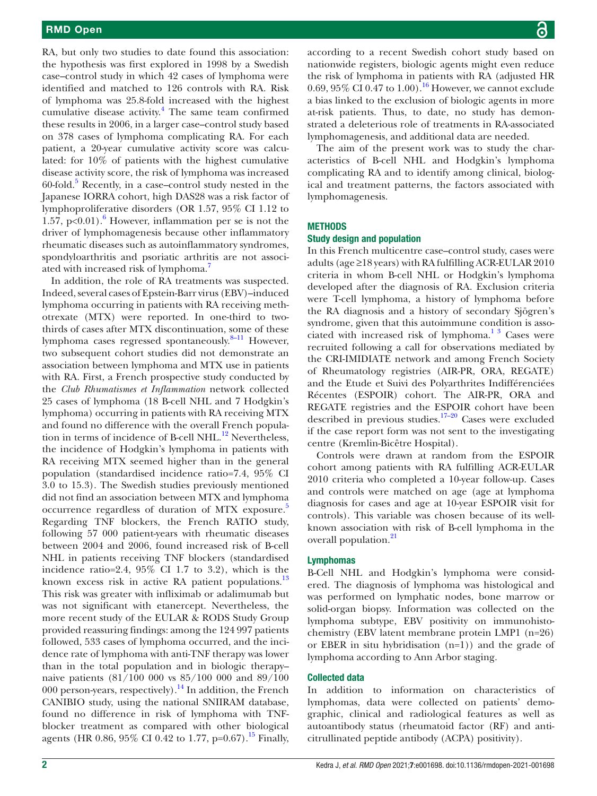RA, but only two studies to date found this association: the hypothesis was first explored in 1998 by a Swedish case–control study in which 42 cases of lymphoma were identified and matched to 126 controls with RA. Risk of lymphoma was 25.8-fold increased with the highest cumulative disease activity.<sup>[4](#page-7-2)</sup> The same team confirmed these results in 2006, in a larger case–control study based on 378 cases of lymphoma complicating RA. For each patient, a 20-year cumulative activity score was calculated: for 10% of patients with the highest cumulative disease activity score, the risk of lymphoma was increased 60-fold.[5](#page-7-3) Recently, in a case–control study nested in the Japanese IORRA cohort, high DAS28 was a risk factor of lymphoproliferative disorders (OR 1.57, 95% CI 1.12 to 1.57,  $p<0.01$ ). However, inflammation per se is not the driver of lymphomagenesis because other inflammatory rheumatic diseases such as autoinflammatory syndromes, spondyloarthritis and psoriatic arthritis are not associated with increased risk of lymphoma.<sup>7</sup>

In addition, the role of RA treatments was suspected. Indeed, several cases of Epstein-Barr virus (EBV)–induced lymphoma occurring in patients with RA receiving methotrexate (MTX) were reported. In one-third to twothirds of cases after MTX discontinuation, some of these lymphoma cases regressed spontaneously.<sup>8-11</sup> However, two subsequent cohort studies did not demonstrate an association between lymphoma and MTX use in patients with RA. First, a French prospective study conducted by the *Club Rhumatismes et Inflammation* network collected 25 cases of lymphoma (18 B-cell NHL and 7 Hodgkin's lymphoma) occurring in patients with RA receiving MTX and found no difference with the overall French population in terms of incidence of B-cell NHL $^{12}$  Nevertheless, the incidence of Hodgkin's lymphoma in patients with RA receiving MTX seemed higher than in the general population (standardised incidence ratio=7.4, 95% CI 3.0 to 15.3). The Swedish studies previously mentioned did not find an association between MTX and lymphoma occurrence regardless of duration of MTX exposure.<sup>[5](#page-7-3)</sup> Regarding TNF blockers, the French RATIO study, following 57 000 patient-years with rheumatic diseases between 2004 and 2006, found increased risk of B-cell NHL in patients receiving TNF blockers (standardised incidence ratio=2.4, 95% CI 1.7 to 3.2), which is the known excess risk in active RA patient populations. $^{13}$ This risk was greater with infliximab or adalimumab but was not significant with etanercept. Nevertheless, the more recent study of the EULAR & RODS Study Group provided reassuring findings: among the 124 997 patients followed, 533 cases of lymphoma occurred, and the incidence rate of lymphoma with anti-TNF therapy was lower than in the total population and in biologic therapy– naive patients (81/100 000 vs 85/100 000 and 89/100 000 person-years, respectively).<sup>14</sup> In addition, the French CANIBIO study, using the national SNIIRAM database, found no difference in risk of lymphoma with TNFblocker treatment as compared with other biological agents (HR 0.86, 95% CI 0.42 to 1.77, p=0.67).<sup>15</sup> Finally,

according to a recent Swedish cohort study based on nationwide registers, biologic agents might even reduce the risk of lymphoma in patients with RA (adjusted HR 0.69, 95% CI 0.47 to 1.00).<sup>[16](#page-8-4)</sup> However, we cannot exclude a bias linked to the exclusion of biologic agents in more at-risk patients. Thus, to date, no study has demonstrated a deleterious role of treatments in RA-associated lymphomagenesis, and additional data are needed.

The aim of the present work was to study the characteristics of B-cell NHL and Hodgkin's lymphoma complicating RA and to identify among clinical, biological and treatment patterns, the factors associated with lymphomagenesis.

#### **METHODS**

#### Study design and population

In this French multicentre case–control study, cases were adults (age ≥18 years) with RA fulfilling ACR-EULAR 2010 criteria in whom B-cell NHL or Hodgkin's lymphoma developed after the diagnosis of RA. Exclusion criteria were T-cell lymphoma, a history of lymphoma before the RA diagnosis and a history of secondary Sjögren's syndrome, given that this autoimmune condition is associated with increased risk of lymphoma. $1^3$  Cases were recruited following a call for observations mediated by the CRI-IMIDIATE network and among French Society of Rheumatology registries (AIR-PR, ORA, REGATE) and the Etude et Suivi des Polyarthrites Indifférenciées Récentes (ESPOIR) cohort. The AIR-PR, ORA and REGATE registries and the ESPOIR cohort have been described in previous studies.<sup>17-20</sup> Cases were excluded if the case report form was not sent to the investigating centre (Kremlin-Bicêtre Hospital).

Controls were drawn at random from the ESPOIR cohort among patients with RA fulfilling ACR-EULAR 2010 criteria who completed a 10-year follow-up. Cases and controls were matched on age (age at lymphoma diagnosis for cases and age at 10-year ESPOIR visit for controls). This variable was chosen because of its wellknown association with risk of B-cell lymphoma in the overall population.<sup>[21](#page-8-6)</sup>

#### Lymphomas

B-Cell NHL and Hodgkin's lymphoma were considered. The diagnosis of lymphoma was histological and was performed on lymphatic nodes, bone marrow or solid-organ biopsy. Information was collected on the lymphoma subtype, EBV positivity on immunohistochemistry (EBV latent membrane protein LMP1 (n=26) or EBER in situ hybridisation (n=1)) and the grade of lymphoma according to Ann Arbor staging.

#### Collected data

In addition to information on characteristics of lymphomas, data were collected on patients' demographic, clinical and radiological features as well as autoantibody status (rheumatoid factor (RF) and anticitrullinated peptide antibody (ACPA) positivity).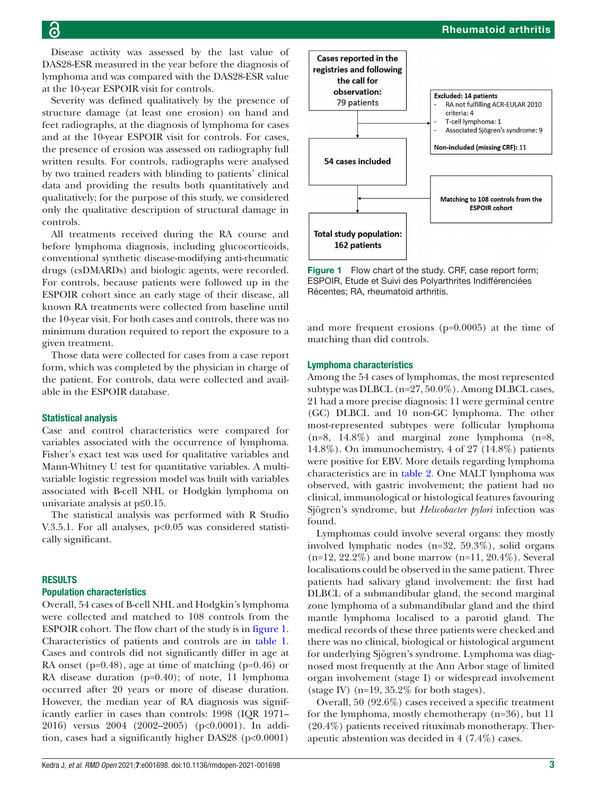Disease activity was assessed by the last value of DAS28-ESR measured in the year before the diagnosis of lymphoma and was compared with the DAS28-ESR value at the 10-year ESPOIR visit for controls.

Severity was defined qualitatively by the presence of structure damage (at least one erosion) on hand and feet radiographs, at the diagnosis of lymphoma for cases and at the 10-year ESPOIR visit for controls. For cases, the presence of erosion was assessed on radiography full written results. For controls, radiographs were analysed by two trained readers with blinding to patients' clinical data and providing the results both quantitatively and qualitatively; for the purpose of this study, we considered only the qualitative description of structural damage in controls.

All treatments received during the RA course and before lymphoma diagnosis, including glucocorticoids, conventional synthetic disease-modifying anti-rheumatic drugs (csDMARDs) and biologic agents, were recorded. For controls, because patients were followed up in the ESPOIR cohort since an early stage of their disease, all known RA treatments were collected from baseline until the 10-year visit. For both cases and controls, there was no minimum duration required to report the exposure to a given treatment.

Those data were collected for cases from a case report form, which was completed by the physician in charge of the patient. For controls, data were collected and available in the ESPOIR database.

#### Statistical analysis

Case and control characteristics were compared for variables associated with the occurrence of lymphoma. Fisher's exact test was used for qualitative variables and Mann-Whitney U test for quantitative variables. A multivariable logistic regression model was built with variables associated with B-cell NHL or Hodgkin lymphoma on univariate analysis at p≤0.15.

The statistical analysis was performed with R Studio V.3.5.1. For all analyses,  $p<0.05$  was considered statistically significant.

#### RESULTS

#### Population characteristics

Overall, 54 cases of B-cell NHL and Hodgkin's lymphoma were collected and matched to 108 controls from the ESPOIR cohort. The flow chart of the study is in [figure](#page-2-0) 1. Characteristics of patients and controls are in [table](#page-3-0) 1. Cases and controls did not significantly differ in age at RA onset (p=0.48), age at time of matching (p=0.46) or RA disease duration (p=0.40); of note, 11 lymphoma occurred after 20 years or more of disease duration. However, the median year of RA diagnosis was significantly earlier in cases than controls: 1998 (IQR 1971– 2016) versus 2004 (2002–2005) (p<0.0001). In addition, cases had a significantly higher DAS28 (p<0.0001)

Rheumatoid arthritis

Matching to 108 controls from the **ESPOIR cohort** 

<span id="page-2-0"></span>Figure 1 Flow chart of the study. CRF, case report form; ESPOIR, Etude et Suivi des Polyarthrites Indifférenciées Récentes; RA, rheumatoid arthritis.

and more frequent erosions (p=0.0005) at the time of matching than did controls.

#### Lymphoma characteristics

54 cases included

**Total study population:** 162 patients

Among the 54 cases of lymphomas, the most represented subtype was DLBCL (n=27, 50.0%). Among DLBCL cases, 21 had a more precise diagnosis: 11 were germinal centre (GC) DLBCL and 10 non-GC lymphoma. The other most-represented subtypes were follicular lymphoma (n=8, 14.8%) and marginal zone lymphoma (n=8, 14.8%). On immunochemistry, 4 of 27 (14.8%) patients were positive for EBV. More details regarding lymphoma characteristics are in [table](#page-4-0) 2. One MALT lymphoma was observed, with gastric involvement; the patient had no clinical, immunological or histological features favouring Sjögren's syndrome, but *Helicobacter pylori* infection was found.

Lymphomas could involve several organs: they mostly involved lymphatic nodes (n=32, 59.3%), solid organs (n=12, 22.2%) and bone marrow (n=11, 20.4%). Several localisations could be observed in the same patient. Three patients had salivary gland involvement: the first had DLBCL of a submandibular gland, the second marginal zone lymphoma of a submandibular gland and the third mantle lymphoma localised to a parotid gland. The medical records of these three patients were checked and there was no clinical, biological or histological argument for underlying Sjögren's syndrome. Lymphoma was diagnosed most frequently at the Ann Arbor stage of limited organ involvement (stage I) or widespread involvement (stage IV) ( $n=19$ ,  $35.2\%$  for both stages).

Overall, 50 (92.6%) cases received a specific treatment for the lymphoma, mostly chemotherapy (n=36), but 11 (20.4%) patients received rituximab monotherapy. Therapeutic abstention was decided in 4 (7.4%) cases.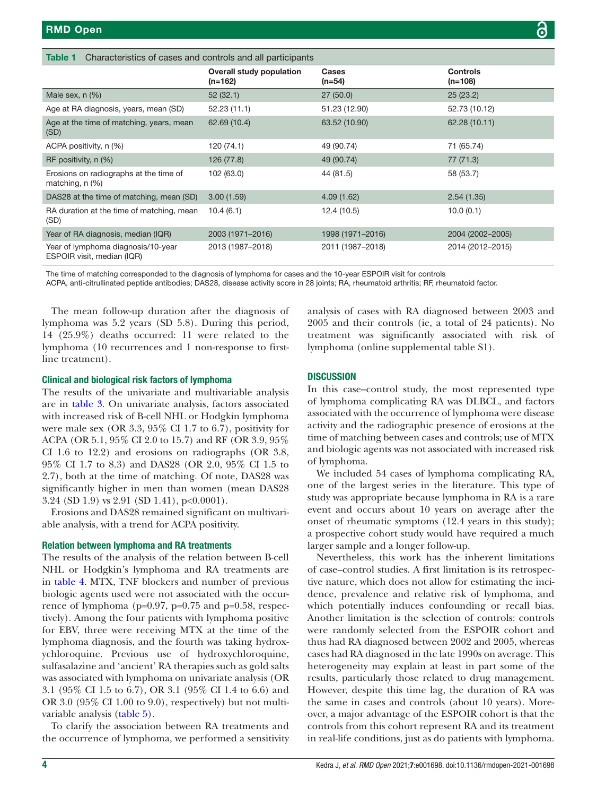<span id="page-3-0"></span>

| Characteristics of cases and controls and all participants<br>Table 1 |                                              |                   |                            |
|-----------------------------------------------------------------------|----------------------------------------------|-------------------|----------------------------|
|                                                                       | <b>Overall study population</b><br>$(n=162)$ | Cases<br>$(n=54)$ | <b>Controls</b><br>(n=108) |
| Male sex, $n$ $(\%)$                                                  | 52(32.1)                                     | 27(50.0)          | 25(23.2)                   |
| Age at RA diagnosis, years, mean (SD)                                 | 52.23(11.1)                                  | 51.23 (12.90)     | 52.73 (10.12)              |
| Age at the time of matching, years, mean<br>(SD)                      | 62.69 (10.4)                                 | 63.52 (10.90)     | 62.28 (10.11)              |
| ACPA positivity, n (%)                                                | 120 (74.1)                                   | 49 (90.74)        | 71 (65.74)                 |
| RF positivity, n (%)                                                  | 126 (77.8)                                   | 49 (90.74)        | 77 (71.3)                  |
| Erosions on radiographs at the time of<br>matching, $n$ $(\%)$        | 102 (63.0)                                   | 44 (81.5)         | 58 (53.7)                  |
| DAS28 at the time of matching, mean (SD)                              | 3.00(1.59)                                   | 4.09(1.62)        | 2.54(1.35)                 |
| RA duration at the time of matching, mean<br>(SD)                     | 10.4(6.1)                                    | 12.4 (10.5)       | 10.0(0.1)                  |
| Year of RA diagnosis, median (IQR)                                    | 2003 (1971–2016)                             | 1998 (1971–2016)  | 2004 (2002-2005)           |
| Year of lymphoma diagnosis/10-year<br>ESPOIR visit, median (IQR)      | 2013 (1987-2018)                             | 2011 (1987-2018)  | 2014 (2012-2015)           |

The time of matching corresponded to the diagnosis of lymphoma for cases and the 10-year ESPOIR visit for controls

ACPA, anti-citrullinated peptide antibodies; DAS28, disease activity score in 28 joints; RA, rheumatoid arthritis; RF, rheumatoid factor.

The mean follow-up duration after the diagnosis of lymphoma was 5.2 years (SD 5.8). During this period, 14 (25.9%) deaths occurred: 11 were related to the lymphoma (10 recurrences and 1 non-response to firstline treatment).

#### Clinical and biological risk factors of lymphoma

The results of the univariate and multivariable analysis are in [table](#page-5-0) 3. On univariate analysis, factors associated with increased risk of B-cell NHL or Hodgkin lymphoma were male sex (OR 3.3, 95% CI 1.7 to 6.7), positivity for ACPA (OR 5.1, 95% CI 2.0 to 15.7) and RF (OR 3.9, 95% CI 1.6 to 12.2) and erosions on radiographs (OR 3.8, 95% CI 1.7 to 8.3) and DAS28 (OR 2.0, 95% CI 1.5 to 2.7), both at the time of matching. Of note, DAS28 was significantly higher in men than women (mean DAS28 3.24 (SD 1.9) vs 2.91 (SD 1.41), p<0.0001).

Erosions and DAS28 remained significant on multivariable analysis, with a trend for ACPA positivity.

#### Relation between lymphoma and RA treatments

The results of the analysis of the relation between B-cell NHL or Hodgkin's lymphoma and RA treatments are in [table](#page-6-0) 4. MTX, TNF blockers and number of previous biologic agents used were not associated with the occurrence of lymphoma ( $p=0.97$ ,  $p=0.75$  and  $p=0.58$ , respectively). Among the four patients with lymphoma positive for EBV, three were receiving MTX at the time of the lymphoma diagnosis, and the fourth was taking hydroxychloroquine. Previous use of hydroxychloroquine, sulfasalazine and 'ancient' RA therapies such as gold salts was associated with lymphoma on univariate analysis (OR 3.1 (95% CI 1.5 to 6.7), OR 3.1 (95% CI 1.4 to 6.6) and OR 3.0 (95% CI 1.00 to 9.0), respectively) but not multivariable analysis [\(table](#page-6-1) 5).

To clarify the association between RA treatments and the occurrence of lymphoma, we performed a sensitivity analysis of cases with RA diagnosed between 2003 and 2005 and their controls (ie, a total of 24 patients). No treatment was significantly associated with risk of lymphoma [\(online supplemental table S1](https://dx.doi.org/10.1136/rmdopen-2021-001698)).

#### **DISCUSSION**

In this case–control study, the most represented type of lymphoma complicating RA was DLBCL, and factors associated with the occurrence of lymphoma were disease activity and the radiographic presence of erosions at the time of matching between cases and controls; use of MTX and biologic agents was not associated with increased risk of lymphoma.

We included 54 cases of lymphoma complicating RA, one of the largest series in the literature. This type of study was appropriate because lymphoma in RA is a rare event and occurs about 10 years on average after the onset of rheumatic symptoms (12.4 years in this study); a prospective cohort study would have required a much larger sample and a longer follow-up.

Nevertheless, this work has the inherent limitations of case–control studies. A first limitation is its retrospective nature, which does not allow for estimating the incidence, prevalence and relative risk of lymphoma, and which potentially induces confounding or recall bias. Another limitation is the selection of controls: controls were randomly selected from the ESPOIR cohort and thus had RA diagnosed between 2002 and 2005, whereas cases had RA diagnosed in the late 1990s on average. This heterogeneity may explain at least in part some of the results, particularly those related to drug management. However, despite this time lag, the duration of RA was the same in cases and controls (about 10 years). Moreover, a major advantage of the ESPOIR cohort is that the controls from this cohort represent RA and its treatment in real-life conditions, just as do patients with lymphoma.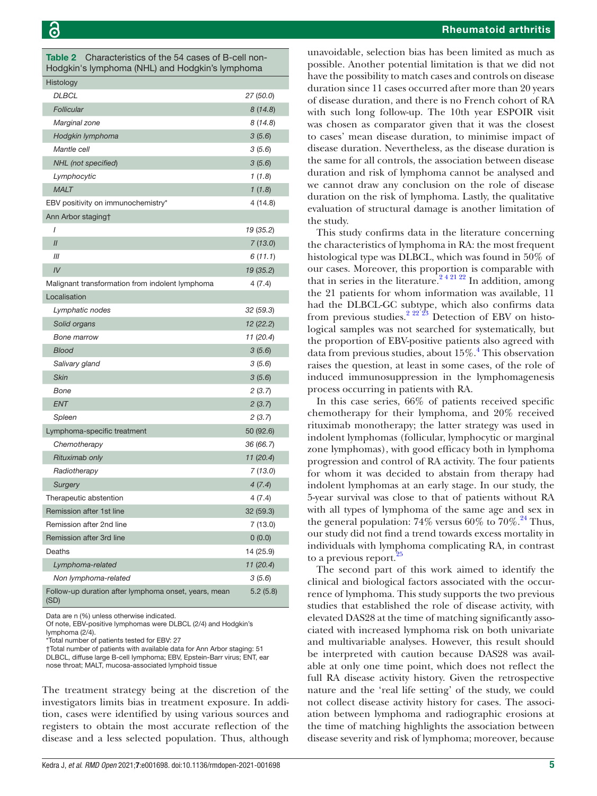<span id="page-4-0"></span>Table 2 Characteristics of the 54 cases of B-cell non-Hodgkin's lymphoma (NHL) and Hodgkin's lymphoma

| Histology                                                    |           |
|--------------------------------------------------------------|-----------|
| DLBCL                                                        | 27 (50.0) |
| Follicular                                                   | 8(14.8)   |
| Marginal zone                                                | 8 (14.8)  |
| Hodgkin lymphoma                                             | 3(5.6)    |
| Mantle cell                                                  | 3(5.6)    |
| NHL (not specified)                                          | 3(5.6)    |
| Lymphocytic                                                  | 1(1.8)    |
| <b>MALT</b>                                                  | 1(1.8)    |
| EBV positivity on immunochemistry*                           | 4 (14.8)  |
| Ann Arbor staging†                                           |           |
| I                                                            | 19 (35.2) |
| $\mathcal{U}$                                                | 7(13.0)   |
| ‴                                                            | 6 (11.1)  |
| IV                                                           | 19 (35.2) |
| Malignant transformation from indolent lymphoma              | 4 (7.4)   |
| Localisation                                                 |           |
| Lymphatic nodes                                              | 32(59.3)  |
| Solid organs                                                 | 12 (22.2) |
| <b>Bone marrow</b>                                           | 11 (20.4) |
| <b>Blood</b>                                                 | 3(5.6)    |
| Salivary gland                                               | 3(5.6)    |
| <b>Skin</b>                                                  | 3(5.6)    |
| Bone                                                         | 2(3.7)    |
| <b>ENT</b>                                                   | 2(3.7)    |
| Spleen                                                       | 2(3.7)    |
| Lymphoma-specific treatment                                  | 50 (92.6) |
| Chemotherapy                                                 | 36 (66.7) |
| Rituximab only                                               | 11(20.4)  |
| Radiotherapy                                                 | 7(13.0)   |
| <b>Surgery</b>                                               | 4(7.4)    |
| Therapeutic abstention                                       | 4 (7.4)   |
| Remission after 1st line                                     | 32 (59.3) |
| Remission after 2nd line                                     | 7 (13.0)  |
| Remission after 3rd line                                     | 0(0.0)    |
| Deaths                                                       | 14 (25.9) |
| Lymphoma-related                                             | 11 (20.4) |
| Non lymphoma-related                                         | 3(5.6)    |
| Follow-up duration after lymphoma onset, years, mean<br>(SD) | 5.2(5.8)  |

Data are n (%) unless otherwise indicated.

Of note, EBV-positive lymphomas were DLBCL (2/4) and Hodgkin's lymphoma (2/4).

\*Total number of patients tested for EBV: 27

†Total number of patients with available data for Ann Arbor staging: 51 DLBCL, diffuse large B-cell lymphoma; EBV, Epstein-Barr virus; ENT, ear nose throat; MALT, mucosa-associated lymphoid tissue

The treatment strategy being at the discretion of the investigators limits bias in treatment exposure. In addition, cases were identified by using various sources and registers to obtain the most accurate reflection of the disease and a less selected population. Thus, although

unavoidable, selection bias has been limited as much as possible. Another potential limitation is that we did not have the possibility to match cases and controls on disease duration since 11 cases occurred after more than 20 years of disease duration, and there is no French cohort of RA with such long follow-up. The 10th year ESPOIR visit was chosen as comparator given that it was the closest to cases' mean disease duration, to minimise impact of disease duration. Nevertheless, as the disease duration is the same for all controls, the association between disease duration and risk of lymphoma cannot be analysed and we cannot draw any conclusion on the role of disease duration on the risk of lymphoma. Lastly, the qualitative evaluation of structural damage is another limitation of the study.

This study confirms data in the literature concerning the characteristics of lymphoma in RA: the most frequent histological type was DLBCL, which was found in 50% of our cases. Moreover, this proportion is comparable with that in series in the literature.<sup>242122</sup> In addition, among the 21 patients for whom information was available, 11 had the DLBCL-GC subtype, which also confirms data from previous studies.<sup>2 22'23</sup> Detection of EBV on histological samples was not searched for systematically, but the proportion of EBV-positive patients also agreed with data from previous studies, about 15%.<sup>[4](#page-7-2)</sup> This observation raises the question, at least in some cases, of the role of induced immunosuppression in the lymphomagenesis process occurring in patients with RA.

In this case series, 66% of patients received specific chemotherapy for their lymphoma, and 20% received rituximab monotherapy; the latter strategy was used in indolent lymphomas (follicular, lymphocytic or marginal zone lymphomas), with good efficacy both in lymphoma progression and control of RA activity. The four patients for whom it was decided to abstain from therapy had indolent lymphomas at an early stage. In our study, the 5-year survival was close to that of patients without RA with all types of lymphoma of the same age and sex in the general population:  $74\%$  versus  $60\%$  to  $70\%$ <sup>[24](#page-8-7)</sup> Thus, our study did not find a trend towards excess mortality in individuals with lymphoma complicating RA, in contrast to a previous report.<sup>[25](#page-8-8)</sup>

The second part of this work aimed to identify the clinical and biological factors associated with the occurrence of lymphoma. This study supports the two previous studies that established the role of disease activity, with elevated DAS28 at the time of matching significantly associated with increased lymphoma risk on both univariate and multivariable analyses. However, this result should be interpreted with caution because DAS28 was available at only one time point, which does not reflect the full RA disease activity history. Given the retrospective nature and the 'real life setting' of the study, we could not collect disease activity history for cases. The association between lymphoma and radiographic erosions at the time of matching highlights the association between disease severity and risk of lymphoma; moreover, because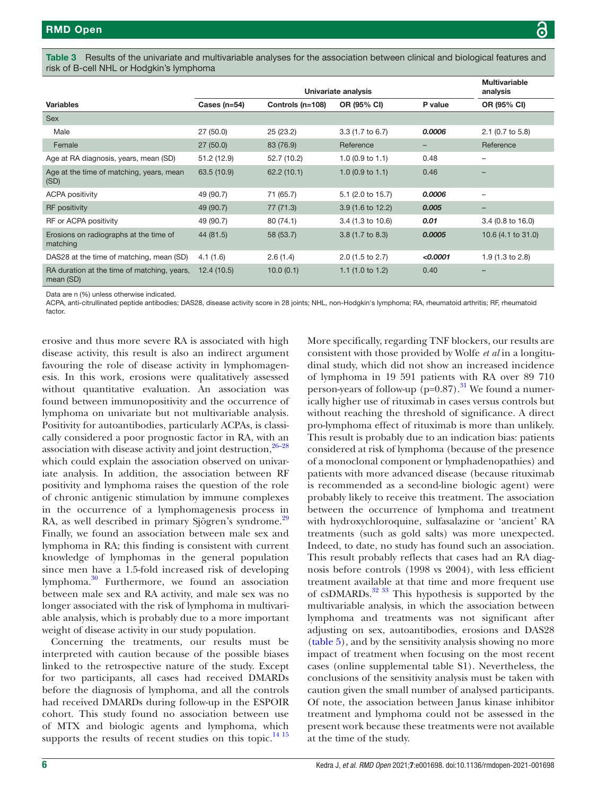<span id="page-5-0"></span>Table 3 Results of the univariate and multivariable analyses for the association between clinical and biological features and risk of B-cell NHL or Hodgkin's lymphoma

|                                                          | Univariate analysis |                  |                             |          | <b>Multivariable</b><br>analysis |
|----------------------------------------------------------|---------------------|------------------|-----------------------------|----------|----------------------------------|
| <b>Variables</b>                                         | Cases $(n=54)$      | Controls (n=108) | OR (95% CI)                 | P value  | OR (95% CI)                      |
| <b>Sex</b>                                               |                     |                  |                             |          |                                  |
| Male                                                     | 27(50.0)            | 25(23.2)         | $3.3(1.7 \text{ to } 6.7)$  | 0.0006   | $2.1$ (0.7 to 5.8)               |
| Female                                                   | 27(50.0)            | 83 (76.9)        | Reference                   | -        | Reference                        |
| Age at RA diagnosis, years, mean (SD)                    | 51.2 (12.9)         | 52.7 (10.2)      | 1.0 $(0.9 \text{ to } 1.1)$ | 0.48     | $\overline{\phantom{0}}$         |
| Age at the time of matching, years, mean<br>(SD)         | 63.5 (10.9)         | 62.2(10.1)       | 1.0 $(0.9 \text{ to } 1.1)$ | 0.46     |                                  |
| <b>ACPA positivity</b>                                   | 49 (90.7)           | 71 (65.7)        | 5.1 (2.0 to 15.7)           | 0.0006   |                                  |
| <b>RF</b> positivity                                     | 49 (90.7)           | 77 (71.3)        | 3.9 (1.6 to 12.2)           | 0.005    | $\qquad \qquad$                  |
| RF or ACPA positivity                                    | 49 (90.7)           | 80(74.1)         | 3.4 (1.3 to 10.6)           | 0.01     | 3.4 (0.8 to 16.0)                |
| Erosions on radiographs at the time of<br>matching       | 44 (81.5)           | 58 (53.7)        | $3.8(1.7)$ to 8.3)          | 0.0005   | 10.6 (4.1 to 31.0)               |
| DAS28 at the time of matching, mean (SD)                 | 4.1(1.6)            | 2.6(1.4)         | $2.0$ (1.5 to 2.7)          | < 0.0001 | 1.9 $(1.3 \text{ to } 2.8)$      |
| RA duration at the time of matching, years,<br>mean (SD) | 12.4(10.5)          | 10.0(0.1)        | 1.1(1.0 to 1.2)             | 0.40     |                                  |

Data are n (%) unless otherwise indicated.

ACPA, anti-citrullinated peptide antibodies; DAS28, disease activity score in 28 joints; NHL, non-Hodgkin's lymphoma; RA, rheumatoid arthritis; RF, rheumatoid factor.

erosive and thus more severe RA is associated with high disease activity, this result is also an indirect argument favouring the role of disease activity in lymphomagenesis. In this work, erosions were qualitatively assessed without quantitative evaluation. An association was found between immunopositivity and the occurrence of lymphoma on univariate but not multivariable analysis. Positivity for autoantibodies, particularly ACPAs, is classically considered a poor prognostic factor in RA, with an association with disease activity and joint destruction, $26-28$ which could explain the association observed on univariate analysis. In addition, the association between RF positivity and lymphoma raises the question of the role of chronic antigenic stimulation by immune complexes in the occurrence of a lymphomagenesis process in RA, as well described in primary Sjögren's syndrome.<sup>29</sup> Finally, we found an association between male sex and lymphoma in RA; this finding is consistent with current knowledge of lymphomas in the general population since men have a 1.5-fold increased risk of developing lymphoma.[30](#page-8-11) Furthermore, we found an association between male sex and RA activity, and male sex was no longer associated with the risk of lymphoma in multivariable analysis, which is probably due to a more important weight of disease activity in our study population.

Concerning the treatments, our results must be interpreted with caution because of the possible biases linked to the retrospective nature of the study. Except for two participants, all cases had received DMARDs before the diagnosis of lymphoma, and all the controls had received DMARDs during follow-up in the ESPOIR cohort. This study found no association between use of MTX and biologic agents and lymphoma, which supports the results of recent studies on this topic. $^{14}$  15

More specifically, regarding TNF blockers, our results are consistent with those provided by Wolfe *et al* in a longitudinal study, which did not show an increased incidence of lymphoma in 19 591 patients with RA over 89 710 person-years of follow-up  $(p=0.87)$ .<sup>31</sup> We found a numerically higher use of rituximab in cases versus controls but without reaching the threshold of significance. A direct pro-lymphoma effect of rituximab is more than unlikely. This result is probably due to an indication bias: patients considered at risk of lymphoma (because of the presence of a monoclonal component or lymphadenopathies) and patients with more advanced disease (because rituximab is recommended as a second-line biologic agent) were probably likely to receive this treatment. The association between the occurrence of lymphoma and treatment with hydroxychloroquine, sulfasalazine or 'ancient' RA treatments (such as gold salts) was more unexpected. Indeed, to date, no study has found such an association. This result probably reflects that cases had an RA diagnosis before controls (1998 vs 2004), with less efficient treatment available at that time and more frequent use of csDMARDs.<sup>32</sup> <sup>33</sup> This hypothesis is supported by the multivariable analysis, in which the association between lymphoma and treatments was not significant after adjusting on sex, autoantibodies, erosions and DAS28 [\(table](#page-6-1) 5), and by the sensitivity analysis showing no more impact of treatment when focusing on the most recent cases ([online supplemental table S1](https://dx.doi.org/10.1136/rmdopen-2021-001698)). Nevertheless, the conclusions of the sensitivity analysis must be taken with caution given the small number of analysed participants. Of note, the association between Janus kinase inhibitor treatment and lymphoma could not be assessed in the present work because these treatments were not available at the time of the study.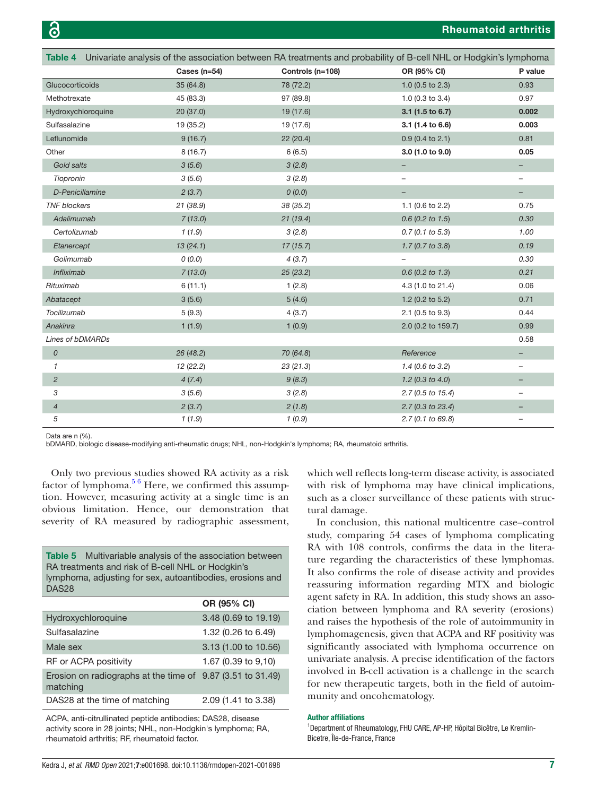<span id="page-6-0"></span>

| Table 4 Univariate analysis of the association between RA treatments and probability of B-cell NHL or Hodgkin's lymphoma |                  |                  |                             |                          |
|--------------------------------------------------------------------------------------------------------------------------|------------------|------------------|-----------------------------|--------------------------|
|                                                                                                                          | Cases ( $n=54$ ) | Controls (n=108) | OR (95% CI)                 | P value                  |
| Glucocorticoids                                                                                                          | 35(64.8)         | 78 (72.2)        | 1.0 (0.5 to 2.3)            | 0.93                     |
| Methotrexate                                                                                                             | 45 (83.3)        | 97 (89.8)        | 1.0 $(0.3$ to 3.4)          | 0.97                     |
| Hydroxychloroquine                                                                                                       | 20(37.0)         | 19 (17.6)        | $3.1$ (1.5 to 6.7)          | 0.002                    |
| Sulfasalazine                                                                                                            | 19 (35.2)        | 19 (17.6)        | 3.1 (1.4 to 6.6)            | 0.003                    |
| Leflunomide                                                                                                              | 9(16.7)          | 22(20.4)         | $0.9$ (0.4 to 2.1)          | 0.81                     |
| Other                                                                                                                    | 8(16.7)          | 6(6.5)           | 3.0 (1.0 to 9.0)            | 0.05                     |
| Gold salts                                                                                                               | 3(5.6)           | 3(2.8)           | $\qquad \qquad -$           |                          |
| Tiopronin                                                                                                                | 3(5.6)           | 3(2.8)           | —                           | $\overline{\phantom{a}}$ |
| D-Penicillamine                                                                                                          | 2(3.7)           | 0(0.0)           |                             |                          |
| <b>TNF blockers</b>                                                                                                      | 21 (38.9)        | 38 (35.2)        | 1.1 $(0.6 \text{ to } 2.2)$ | 0.75                     |
| Adalimumab                                                                                                               | 7(13.0)          | 21(19.4)         | $0.6$ (0.2 to 1.5)          | 0.30                     |
| Certolizumab                                                                                                             | 1(1.9)           | 3(2.8)           | $0.7$ (0.1 to 5.3)          | 1.00                     |
| Etanercept                                                                                                               | 13(24.1)         | 17(15.7)         | 1.7(0.7 to 3.8)             | 0.19                     |
| Golimumab                                                                                                                | 0(0.0)           | 4(3.7)           |                             | 0.30                     |
| Infliximab                                                                                                               | 7(13.0)          | 25 (23.2)        | $0.6$ (0.2 to 1.3)          | 0.21                     |
| Rituximab                                                                                                                | 6(11.1)          | 1(2.8)           | 4.3 (1.0 to 21.4)           | 0.06                     |
| Abatacept                                                                                                                | 3(5.6)           | 5(4.6)           | 1.2 (0.2 to $5.2$ )         | 0.71                     |
| Tocilizumab                                                                                                              | 5(9.3)           | 4(3.7)           | 2.1 (0.5 to 9.3)            | 0.44                     |
| Anakinra                                                                                                                 | 1(1.9)           | 1(0.9)           | 2.0 (0.2 to 159.7)          | 0.99                     |
| Lines of bDMARDs                                                                                                         |                  |                  |                             | 0.58                     |
| $\mathcal{O}$                                                                                                            | 26 (48.2)        | 70 (64.8)        | Reference                   |                          |
| $\mathcal I$                                                                                                             | 12 (22.2)        | 23(21.3)         | $1.4$ (0.6 to 3.2)          |                          |
| $\overline{c}$                                                                                                           | 4(7.4)           | 9(8.3)           | $1.2$ (0.3 to 4.0)          |                          |
| 3                                                                                                                        | 3(5.6)           | 3(2.8)           | $2.7(0.5 \text{ to } 15.4)$ | $\overline{\phantom{a}}$ |
| $\overline{4}$                                                                                                           | 2(3.7)           | 2(1.8)           | 2.7 (0.3 to 23.4)           |                          |
| 5                                                                                                                        | 1(1.9)           | 1(0.9)           | 2.7(0.1 to 69.8)            |                          |

Data are n (%).

bDMARD, biologic disease-modifying anti-rheumatic drugs; NHL, non-Hodgkin's lymphoma; RA, rheumatoid arthritis.

Only two previous studies showed RA activity as a risk factor of lymphoma.<sup>5 6</sup> Here, we confirmed this assumption. However, measuring activity at a single time is an obvious limitation. Hence, our demonstration that severity of RA measured by radiographic assessment,

<span id="page-6-1"></span>

| - ------                                                         |
|------------------------------------------------------------------|
| DAS <sub>28</sub>                                                |
| lymphoma, adjusting for sex, autoantibodies, erosions and        |
| RA treatments and risk of B-cell NHL or Hodgkin's                |
| <b>Table 5</b> Multivariable analysis of the association between |
|                                                                  |

|                                                                        | OR (95% CI)          |
|------------------------------------------------------------------------|----------------------|
| Hydroxychloroquine                                                     | 3.48 (0.69 to 19.19) |
| Sulfasalazine                                                          | 1.32 (0.26 to 6.49)  |
| Male sex                                                               | 3.13 (1.00 to 10.56) |
| RF or ACPA positivity                                                  | 1.67 (0.39 to 9.10)  |
| Erosion on radiographs at the time of 9.87 (3.51 to 31.49)<br>matching |                      |
| DAS28 at the time of matching                                          | 2.09 (1.41 to 3.38)  |

ACPA, anti-citrullinated peptide antibodies; DAS28, disease activity score in 28 joints; NHL, non-Hodgkin's lymphoma; RA, rheumatoid arthritis; RF, rheumatoid factor.

which well reflects long-term disease activity, is associated with risk of lymphoma may have clinical implications, such as a closer surveillance of these patients with structural damage.

In conclusion, this national multicentre case–control study, comparing 54 cases of lymphoma complicating RA with 108 controls, confirms the data in the literature regarding the characteristics of these lymphomas. It also confirms the role of disease activity and provides reassuring information regarding MTX and biologic agent safety in RA. In addition, this study shows an association between lymphoma and RA severity (erosions) and raises the hypothesis of the role of autoimmunity in lymphomagenesis, given that ACPA and RF positivity was significantly associated with lymphoma occurrence on univariate analysis. A precise identification of the factors involved in B-cell activation is a challenge in the search for new therapeutic targets, both in the field of autoimmunity and oncohematology.

#### Author affiliations

<sup>1</sup>Department of Rheumatology, FHU CARE, AP-HP, Hôpital Bicêtre, Le Kremlin-Bicetre, Île-de-France, France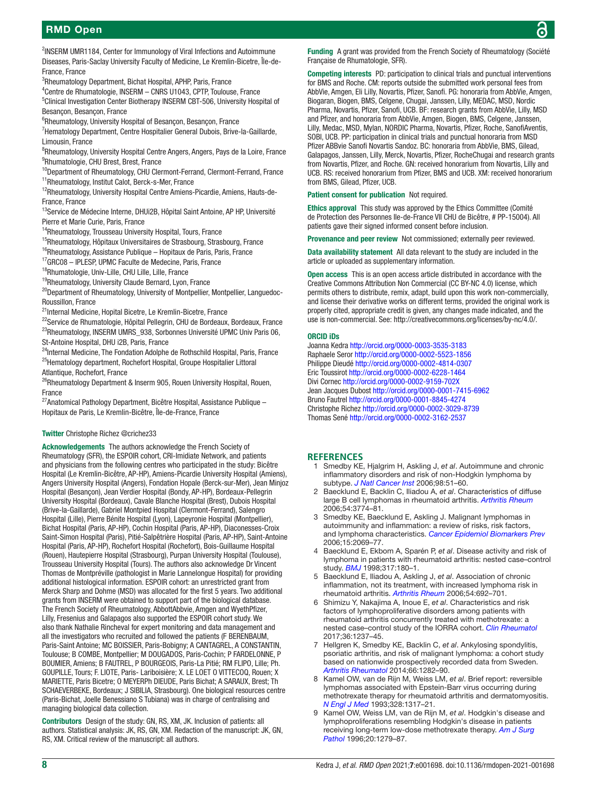<sup>2</sup>INSERM UMR1184, Center for Immunology of Viral Infections and Autoimmune Diseases, Paris-Saclay University Faculty of Medicine, Le Kremlin-Bicetre, Île-de-France, France

<sup>3</sup>Rheumatology Department, Bichat Hospital, APHP, Paris, France

4 Centre de Rhumatologie, INSERM – CNRS U1043, CPTP, Toulouse, France

<sup>5</sup>Clinical Investigation Center Biotherapy INSERM CBT-506, University Hospital of Besançon, Besançon, France

<sup>6</sup>Rheumatology, University Hospital of Besançon, Besançon, France

<sup>7</sup>Hematology Department, Centre Hospitalier General Dubois, Brive-la-Gaillarde, Limousin, France

<sup>8</sup>Rheumatology, University Hospital Centre Angers, Angers, Pays de la Loire, France 9 Rhumatologie, CHU Brest, Brest, France

<sup>10</sup>Department of Rheumatology, CHU Clermont-Ferrand, Clermont-Ferrand, France 11Rheumatology, Institut Calot, Berck-s-Mer, France

<sup>12</sup>Rheumatology, University Hospital Centre Amiens-Picardie, Amiens, Hauts-de-France, France

<sup>13</sup>Service de Médecine Interne, DHUi2B, Hôpital Saint Antoine, AP HP, Université Pierre et Marie Curie, Paris, France

<sup>14</sup>Rheumatology, Trousseau University Hospital, Tours, France

<sup>15</sup>Rheumatology, Hôpitaux Universitaires de Strasbourg, Strasbourg, France

<sup>16</sup>Rheumatology, Assistance Publique – Hopitaux de Paris, Paris, France

<sup>17</sup>GRC08 - IPLESP, UPMC Faculte de Medecine, Paris, France

18Rhumatologie, Univ-Lille, CHU Lille, Lille, France

<sup>19</sup>Rheumatology, University Claude Bernard, Lyon, France

<sup>20</sup>Department of Rheumatology, University of Montpellier, Montpellier, Languedoc-Roussillon, France

<sup>21</sup>Internal Medicine, Hopital Bicetre, Le Kremlin-Bicetre, France

<sup>22</sup>Service de Rhumatologie, Hôpital Pellegrin, CHU de Bordeaux, Bordeaux, France <sup>23</sup>Rheumatology, INSERM UMRS\_938, Sorbonnes Université UPMC Univ Paris 06, St-Antoine Hospital, DHU i2B, Paris, France

<sup>24</sup>Internal Medicine, The Fondation Adolphe de Rothschild Hospital, Paris, France <sup>25</sup>Hematology department, Rochefort Hospital, Groupe Hospitalier Littoral Atlantique, Rochefort, France

<sup>26</sup>Rheumatology Department & Inserm 905, Rouen University Hospital, Rouen, France

 $27$ Anatomical Pathology Department, Bicêtre Hospital, Assistance Publique – Hopitaux de Paris, Le Kremlin-Bicêtre, Île-de-France, France

#### Twitter Christophe Richez [@crichez33](https://twitter.com/crichez33)

Acknowledgements The authors acknowledge the French Society of Rheumatology (SFR), the ESPOIR cohort, CRI-Imidiate Network, and patients and physicians from the following centres who participated in the study: Bicêtre Hospital (Le Kremlin-Bicêtre, AP-HP), Amiens-Picardie University Hospital (Amiens), Angers University Hospital (Angers), Fondation Hopale (Berck-sur-Mer), Jean Minjoz Hospital (Besançon), Jean Verdier Hospital (Bondy, AP-HP), Bordeaux-Pellegrin University Hospital (Bordeaux), Cavale Blanche Hospital (Brest), Dubois Hospital (Brive-la-Gaillarde), Gabriel Montpied Hospital (Clermont-Ferrand), Salengro Hospital (Lille), Pierre Bénite Hospital (Lyon), Lapeyronie Hospital (Montpellier), Bichat Hospital (Paris, AP-HP), Cochin Hospital (Paris, AP-HP), Diaconesses-Croix Saint-Simon Hospital (Paris), Pitié-Salpêtrière Hospital (Paris, AP-HP), Saint-Antoine Hospital (Paris, AP-HP), Rochefort Hospital (Rochefort), Bois-Guillaume Hospital (Rouen), Hautepierre Hospital (Strasbourg), Purpan University Hospital (Toulouse), Trousseau University Hospital (Tours). The authors also acknowledge Dr Vincent Thomas de Montpréville (pathologist in Marie Lannelongue Hospital) for providing additional histological information. ESPOIR cohort: an unrestricted grant from Merck Sharp and Dohme (MSD) was allocated for the first 5 years. Two additional grants from INSERM were obtained to support part of the biological database. The French Society of Rheumatology, AbbottAbbvie, Amgen and WyethPfizer, Lilly, Fresenius and Galapagos also supported the ESPOIR cohort study. We also thank Nathalie Rincheval for expert monitoring and data management and all the investigators who recruited and followed the patients (F BERENBAUM, Paris-Saint Antoine; MC BOISSIER, Paris-Bobigny; A CANTAGREL, A CONSTANTIN, Toulouse; B COMBE, Montpellier; M DOUGADOS, Paris-Cochin; P FARDELONNE, P BOUMIER, Amiens; B FAUTREL, P BOURGEOIS, Paris-La Pitié; RM FLIPO, Lille; Ph. GOUPILLE, Tours; F. LIOTE, Paris- Lariboisière; X. LE LOET O VITTECOQ, Rouen; X MARIETTE, Paris Bicetre; O MEYERPh DIEUDE, Paris Bichat; A SARAUX, Brest; Th SCHAEVERBEKE, Bordeaux; J SIBILIA, Strasbourg). One biological resources centre (Paris-Bichat, Joelle Benessiano S Tubiana) was in charge of centralising and managing biological data collection.

Contributors Design of the study: GN, RS, XM, JK. Inclusion of patients: all authors. Statistical analysis: JK, RS, GN, XM. Redaction of the manuscript: JK, GN, RS, XM. Critical review of the manuscript: all authors.

Funding A grant was provided from the French Society of Rheumatology (Société Française de Rhumatologie, SFR).

Competing interests PD: participation to clinical trials and punctual interventions for BMS and Roche. CM: reports outside the submitted work personal fees from AbbVie, Amgen, Eli Lilly, Novartis, Pfizer, Sanofi. PG: honoraria from AbbVie, Amgen, Biogaran, Biogen, BMS, Celgene, Chugai, Janssen, Lilly, MEDAC, MSD, Nordic Pharma, Novartis, Pfizer, Sanofi, UCB. BF: research grants from AbbVie, Lilly, MSD and Pfizer, and honoraria from AbbVie, Amgen, Biogen, BMS, Celgene, Janssen, Lilly, Medac, MSD, Mylan, NORDIC Pharma, Novartis, Pfizer, Roche, SanofiAventis, SOBI, UCB. PP: participation in clinical trials and punctual honoraria from MSD Pfizer ABBvie Sanofi Novartis Sandoz. BC: honoraria from AbbVie, BMS, Gilead, Galapagos, Janssen, Lilly, Merck, Novartis, Pfizer, RocheChugai and research grants from Novartis, Pfizer, and Roche. GN: received honorarium from Novartis, Lilly and UCB. RS: received honorarium from Pfizer, BMS and UCB. XM: received honorarium from BMS, Gilead, Pfizer, UCB.

Patient consent for publication Not required.

Ethics approval This study was approved by the Ethics Committee (Comité de Protection des Personnes Ile-de-France VII CHU de Bicêtre, # PP-15004). All patients gave their signed informed consent before inclusion.

Provenance and peer review Not commissioned; externally peer reviewed.

Data availability statement All data relevant to the study are included in the article or uploaded as supplementary information.

Open access This is an open access article distributed in accordance with the Creative Commons Attribution Non Commercial (CC BY-NC 4.0) license, which permits others to distribute, remix, adapt, build upon this work non-commercially, and license their derivative works on different terms, provided the original work is properly cited, appropriate credit is given, any changes made indicated, and the use is non-commercial. See:<http://creativecommons.org/licenses/by-nc/4.0/>.

#### ORCID iDs

Joanna Kedra<http://orcid.org/0000-0003-3535-3183> Raphaele Seror<http://orcid.org/0000-0002-5523-1856> Philippe Dieudé <http://orcid.org/0000-0002-4814-0307> Eric Toussirot<http://orcid.org/0000-0002-6228-1464> Divi Cornec<http://orcid.org/0000-0002-9159-702X> Jean Jacques Dubost<http://orcid.org/0000-0001-7415-6962> Bruno Fautrel<http://orcid.org/0000-0001-8845-4274> Christophe Richez<http://orcid.org/0000-0002-3029-8739> Thomas Sené<http://orcid.org/0000-0002-3162-2537>

#### <span id="page-7-0"></span>**REFERENCES**

- 1 Smedby KE, Hjalgrim H, Askling J, *et al*. Autoimmune and chronic inflammatory disorders and risk of non-Hodgkin lymphoma by subtype. *[J Natl Cancer Inst](http://dx.doi.org/10.1093/jnci/djj004)* 2006;98:51–60.
- <span id="page-7-1"></span>2 Baecklund E, Backlin C, Iliadou A, *et al*. Characteristics of diffuse large B cell lymphomas in rheumatoid arthritis. *[Arthritis Rheum](http://dx.doi.org/10.1002/art.22277)* 2006;54:3774–81.
- 3 Smedby KE, Baecklund E, Askling J. Malignant lymphomas in autoimmunity and inflammation: a review of risks, risk factors, and lymphoma characteristics. *[Cancer Epidemiol Biomarkers Prev](http://dx.doi.org/10.1158/1055-9965.EPI-06-0300)* 2006;15:2069–77.
- <span id="page-7-2"></span>4 Baecklund E, Ekbom A, Sparén P, *et al*. Disease activity and risk of lymphoma in patients with rheumatoid arthritis: nested case–control study. *[BMJ](http://dx.doi.org/10.1136/bmj.317.7152.180)* 1998;317:180–1.
- <span id="page-7-3"></span>5 Baecklund E, Iliadou A, Askling J, *et al*. Association of chronic inflammation, not its treatment, with increased lymphoma risk in rheumatoid arthritis. *[Arthritis Rheum](http://dx.doi.org/10.1002/art.21675)* 2006;54:692–701.
- <span id="page-7-4"></span>6 Shimizu Y, Nakajima A, Inoue E, *et al*. Characteristics and risk factors of lymphoproliferative disorders among patients with rheumatoid arthritis concurrently treated with methotrexate: a nested case–control study of the IORRA cohort. *[Clin Rheumatol](http://dx.doi.org/10.1007/s10067-017-3634-5)* 2017;36:1237–45.
- <span id="page-7-5"></span>7 Hellgren K, Smedby KE, Backlin C, *et al*. Ankylosing spondylitis, psoriatic arthritis, and risk of malignant lymphoma: a cohort study based on nationwide prospectively recorded data from Sweden. *[Arthritis Rheumatol](http://dx.doi.org/10.1002/art.38339)* 2014;66:1282–90.
- <span id="page-7-6"></span>8 Kamel OW, van de Rijn M, Weiss LM, *et al*. Brief report: reversible lymphomas associated with Epstein-Barr virus occurring during methotrexate therapy for rheumatoid arthritis and dermatomyositis. *[N Engl J Med](http://dx.doi.org/10.1056/NEJM199305063281806)* 1993;328:1317–21.
- 9 Kamel OW, Weiss LM, van de Rijn M, *et al*. Hodgkin's disease and lymphoproliferations resembling Hodgkin's disease in patients receiving long-term low-dose methotrexate therapy. *[Am J Surg](http://dx.doi.org/10.1097/00000478-199610000-00015)  [Pathol](http://dx.doi.org/10.1097/00000478-199610000-00015)* 1996;20:1279–87.